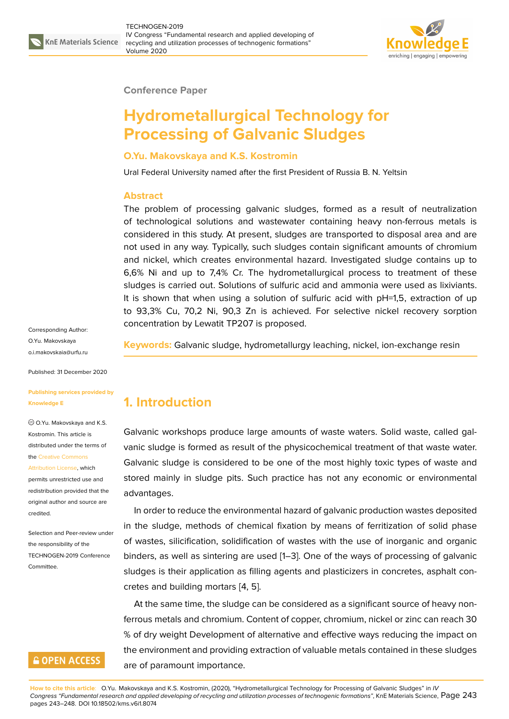

#### **Conference Paper**

# **Hydrometallurgical Technology for Processing of Galvanic Sludges**

#### **O.Yu. Makovskaya and K.S. Kostromin**

Ural Federal University named after the first President of Russia B. N. Yeltsin

#### **Abstract**

The problem of processing galvanic sludges, formed as a result of neutralization of technological solutions and wastewater containing heavy non-ferrous metals is considered in this study. At present, sludges are transported to disposal area and are not used in any way. Typically, such sludges contain significant amounts of chromium and nickel, which creates environmental hazard. Investigated sludge contains up to 6,6% Ni and up to 7,4% Cr. The hydrometallurgical process to treatment of these sludges is carried out. Solutions of sulfuric acid and ammonia were used as lixiviants. It is shown that when using a solution of sulfuric acid with pH=1,5, extraction of up to 93,3% Cu, 70,2 Ni, 90,3 Zn is achieved. For selective nickel recovery sorption concentration by Lewatit TP207 is proposed.

Corresponding Author: O.Yu. Makovskaya o.i.makovskaia@urfu.ru

Published: 31 December 2020

#### **[Publishing services pro](mailto:o.i.makovskaia@urfu.ru)vided by Knowledge E**

O.Yu. Makovskaya and K.S. Kostromin. This article is distributed under the terms of the Creative Commons

Attribution License, which permits unrestricted use and redistribution provided that the orig[inal author and sou](https://creativecommons.org/licenses/by/4.0/)rce are [credited.](https://creativecommons.org/licenses/by/4.0/)

Selection and Peer-review under the responsibility of the TECHNOGEN-2019 Conference Committee.

### **GOPEN ACCESS**

**Keywords:** Galvanic sludge, hydrometallurgy leaching, nickel, ion-exchange resin

### **1. Introduction**

Galvanic workshops produce large amounts of waste waters. Solid waste, called galvanic sludge is formed as result of the physicochemical treatment of that waste water. Galvanic sludge is considered to be one of the most highly toxic types of waste and stored mainly in sludge pits. Such practice has not any economic or environmental advantages.

In order to reduce the environmental hazard of galvanic production wastes deposited in the sludge, methods of chemical fixation by means of ferritization of solid phase of wastes, silicification, solidification of wastes with the use of inorganic and organic binders, as well as sintering are used [1–3]. One of the ways of processing of galvanic sludges is their application as filling agents and plasticizers in concretes, asphalt concretes and building mortars [4, 5].

At the same time, the sludge can be [c](#page-5-0)[on](#page-5-1)sidered as a significant source of heavy nonferrous metals and chromium. Content of copper, chromium, nickel or zinc can reach 30 % of dry weight Developme[nt](#page-5-2) [of](#page-5-3) alternative and effective ways reducing the impact on the environment and providing extraction of valuable metals contained in these sludges are of paramount importance.

**How to cite this article**: O.Yu. Makovskaya and K.S. Kostromin, (2020), "Hydrometallurgical Technology for Processing of Galvanic Sludges" in *IV Congress "Fundamental research and applied developing of recycling and utilization processes of technogenic formations"*, KnE Materials Science, Page 243 pages 243–248. DOI 10.18502/kms.v6i1.8074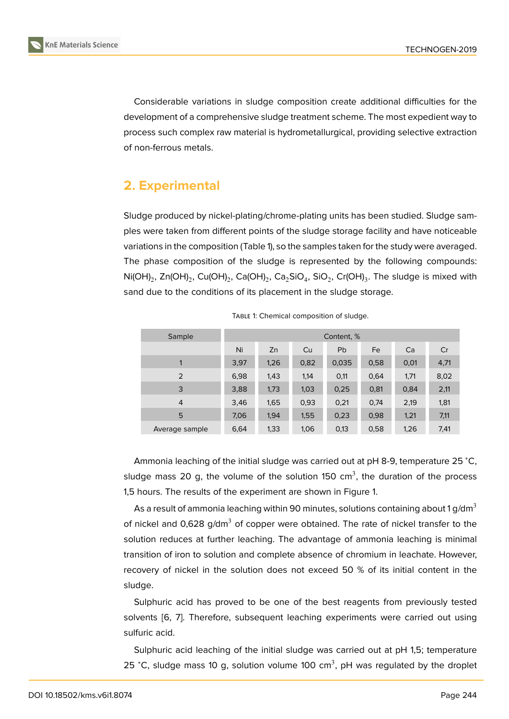Considerable variations in sludge composition create additional difficulties for the development of a comprehensive sludge treatment scheme. The most expedient way to process such complex raw material is hydrometallurgical, providing selective extraction of non-ferrous metals.

### **2. Experimental**

Sludge produced by nickel-plating/chrome-plating units has been studied. Sludge samples were taken from different points of the sludge storage facility and have noticeable variations in the composition (Table 1), so the samples taken for the study were averaged. The phase composition of the sludge is represented by the following compounds:  $\mathsf{Ni(OH)}_2$ , Zn(OH) $_2$ , Cu(OH) $_2$ , Ca(OH) $_2$ , Ca $_2\mathsf{SiO}_4$ , SiO $_2$ , Cr(OH) $_3$ . The sludge is mixed with sand due to the conditions of its placement in the sludge storage.

| Sample         | Content, % |      |      |       |      |      |      |
|----------------|------------|------|------|-------|------|------|------|
|                | Ni         | Zn   | Cu   | Pb    | Fe   | Ca   | Cr   |
| 1              | 3,97       | 1,26 | 0,82 | 0,035 | 0,58 | 0,01 | 4,71 |
| 2              | 6,98       | 1,43 | 1,14 | 0,11  | 0,64 | 1,71 | 8,02 |
| 3              | 3,88       | 1,73 | 1,03 | 0,25  | 0,81 | 0,84 | 2,11 |
| $\overline{4}$ | 3,46       | 1,65 | 0,93 | 0,21  | 0,74 | 2,19 | 1,81 |
| 5              | 7,06       | 1,94 | 1,55 | 0,23  | 0,98 | 1,21 | 7,11 |
| Average sample | 6,64       | 1,33 | 1,06 | 0,13  | 0,58 | 1,26 | 7,41 |

TABLE 1: Chemical composition of sludge.

Ammonia leaching of the initial sludge was carried out at pH 8-9, temperature 25 <sup>∘</sup>C, sludge mass 20 g, the volume of the solution 150 cm<sup>3</sup>, the duration of the process 1,5 hours. The results of the experiment are shown in Figure 1.

As a result of ammonia leaching within 90 minutes, solutions containing about 1 g/dm $^3$ of nickel and  $0.628$  g/dm<sup>3</sup> of copper were obtained. The rate of nickel transfer to the solution reduces at further leaching. The advantage of am[m](#page-2-0)onia leaching is minimal transition of iron to solution and complete absence of chromium in leachate. However, recovery of nickel in the solution does not exceed 50 % of its initial content in the sludge.

Sulphuric acid has proved to be one of the best reagents from previously tested solvents [6, 7]. Therefore, subsequent leaching experiments were carried out using sulfuric acid.

Sulphuric acid leaching of the initial sludge was carried out at pH 1,5; temperature 25 °C, sl[ud](#page-5-4)g[e](#page-5-5) mass 10 g, solution volume 100 cm<sup>3</sup>, pH was regulated by the droplet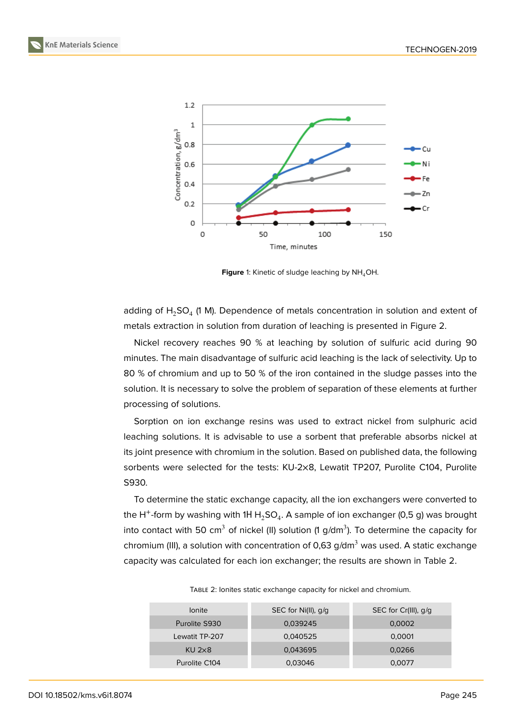

<span id="page-2-0"></span>**Figure** 1: Kinetic of sludge leaching by NH<sub>4</sub>OH.

adding of  $H_2$ SO<sub>4</sub> (1 M). Dependence of metals concentration in solution and extent of metals extraction in solution from duration of leaching is presented in Figure 2.

Nickel recovery reaches 90 % at leaching by solution of sulfuric acid during 90 minutes. The main disadvantage of sulfuric acid leaching is the lack of selectivity. Up to 80 % of chromium and up to 50 % of the iron contained in the sludge passe[s](#page-3-0) into the solution. It is necessary to solve the problem of separation of these elements at further processing of solutions.

Sorption on ion exchange resins was used to extract nickel from sulphuric acid leaching solutions. It is advisable to use a sorbent that preferable absorbs nickel at its joint presence with chromium in the solution. Based on published data, the following sorbents were selected for the tests: KU-2×8, Lewatit TP207, Purolite C104, Purolite S930.

To determine the static exchange capacity, all the ion exchangers were converted to the H<sup>+</sup>-form by washing with 1H H $_{\rm 2}$ SO<sub>4</sub>. A sample of ion exchanger (0,5 g) was brought into contact with 50 cm $^3$  of nickel (II) solution (1 g/dm $^3$ ). To determine the capacity for chromium (III), a solution with concentration of 0,63 g/dm<sup>3</sup> was used. A static exchange capacity was calculated for each ion exchanger; the results are shown in Table 2.

| <b>lonite</b>     | SEC for Ni(II), $q/q$ | SEC for Cr(III), g/g |  |  |
|-------------------|-----------------------|----------------------|--|--|
| Purolite S930     | 0,039245              | 0,0002               |  |  |
| Lewatit TP-207    | 0,040525              | 0.0001               |  |  |
| $KU$ 2 $\times$ 8 | 0,043695              | 0,0266               |  |  |
| Purolite C104     | 0,03046               | 0.0077               |  |  |

TABLE 2: Ionites static exchange capacity for nickel and chromium.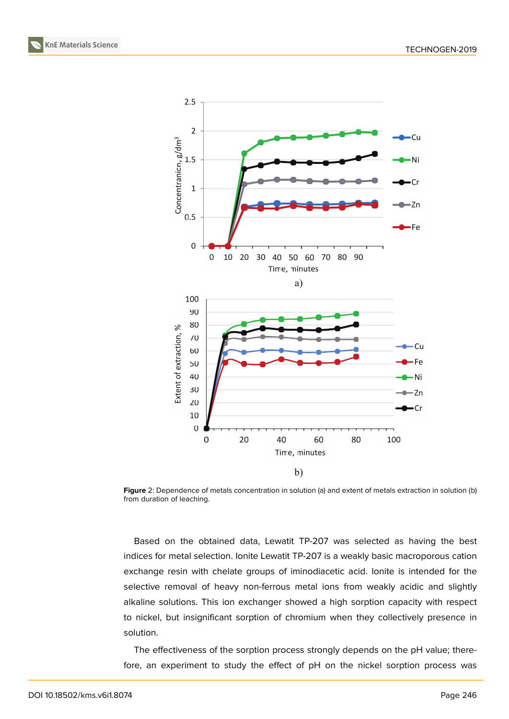



<span id="page-3-0"></span>**Figure** 2: Dependence of metals concentration in solution (a) and extent of metals extraction in solution (b) from duration of leaching.

Based on the obtained data, Lewatit TP-207 was selected as having the best indices for metal selection. Ionite Lewatit TP-207 is a weakly basic macroporous cation exchange resin with chelate groups of iminodiacetic acid. Ionite is intended for the selective removal of heavy non-ferrous metal ions from weakly acidic and slightly alkaline solutions. This ion exchanger showed a high sorption capacity with respect to nickel, but insignificant sorption of chromium when they collectively presence in solution.

The effectiveness of the sorption process strongly depends on the pH value; therefore, an experiment to study the effect of pH on the nickel sorption process was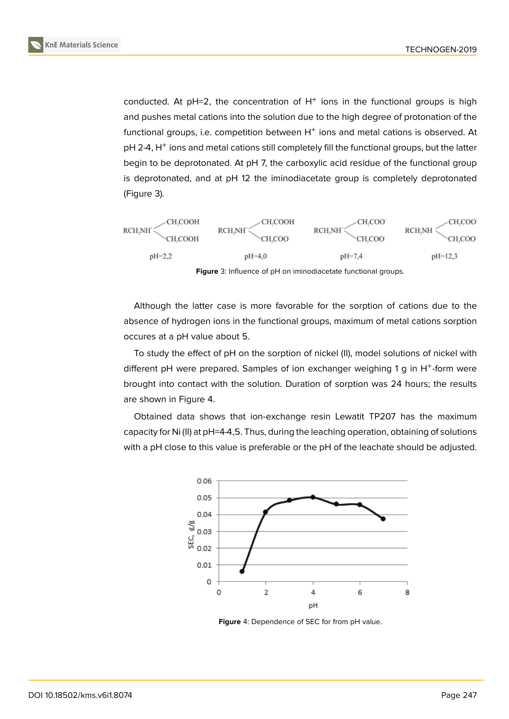conducted. At  $pH=2$ , the concentration of  $H^+$  ions in the functional groups is high and pushes metal cations into the solution due to the high degree of protonation of the functional groups, i.e. competition between  $H^+$  ions and metal cations is observed. At pH 2-4, H<sup>+</sup> ions and metal cations still completely fill the functional groups, but the latter begin to be deprotonated. At pH 7, the carboxylic acid residue of the functional group is deprotonated, and at pH 12 the iminodiacetate group is completely deprotonated (Figure 3).



Although the latter case is more favorable for the sorption of cations due to the absence of hydrogen ions in the functional groups, maximum of metal cations sorption occures at a pH value about 5.

To study the effect of pH on the sorption of nickel (II), model solutions of nickel with different pH were prepared. Samples of ion exchanger weighing 1 g in H<sup>+</sup>-form were brought into contact with the solution. Duration of sorption was 24 hours; the results are shown in Figure 4.

Obtained data shows that ion-exchange resin Lewatit TP207 has the maximum capacity for Ni (II) at pH=4-4,5. Thus, during the leaching operation, obtaining of solutions with a pH close to this value is preferable or the pH of the leachate should be adjusted.

![](_page_4_Figure_7.jpeg)

**Figure** 4: Dependence of SEC for from pH value.